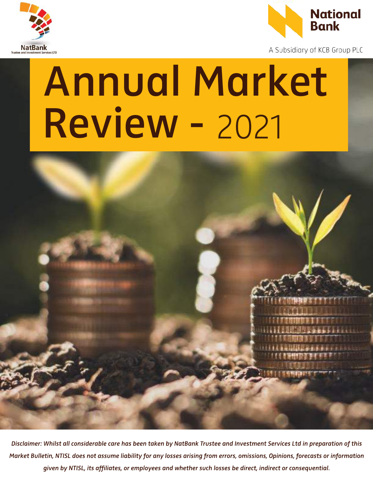



A Subsidiary of KCB Group PLC

# Annual Market Review - 2021 Annual Market



Disclaimer: Whilst all considerable care has been taken by NatBank Trustee and Investment Services Ltd in preparation of this Market Bulletin, NTISL does not assume liability for any losses arising from errors, omissions, Opinions, forecasts or information given by NTISL, its affiliates, or employees and whether such losses be direct, indirect or consequential.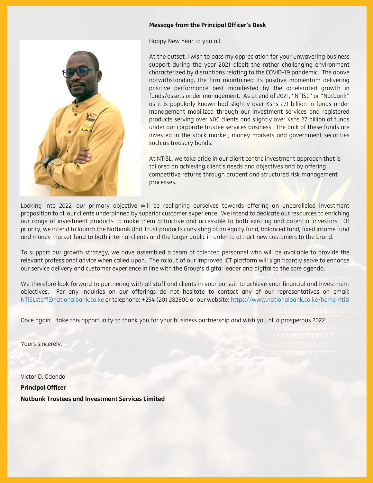## Message from the Principal Officer's Desk

Happy New Year to you all.



At the outset, I wish to pass my appreciation for your unwavering business support during the year 2021 albeit the rather challenging environment characterized by disruptions relating to the COVID-19 pandemic. The above notwithstanding, the firm maintained its positive momentum delivering positive performance best manifested by the accelerated growth in funds/assets under management. As at end of 2021, "NTISL" or "Natbank" as it is popularly known had slightly over Kshs 2.9 billion in funds under management mobilized through our investment services and registered products serving over 400 clients and slightly over Kshs 27 billion of funds under our corporate trustee services business. The bulk of these funds are invested in the stock market, money markets and government securities such as treasury bonds.

At NTISL, we take pride in our client centric investment approach that is tailored on achieving client's needs and objectives and by offering competitive returns through prudent and structured risk management processes.

Looking into 2022, our primary objective will be realigning ourselves towards offering an unparalleled investment proposition to all our clients underpinned by superior customer experience. We intend to dedicate our resources to enriching our range of investment products to make them attractive and accessible to both existing and potential investors. Of priority, we intend to launch the Natbank Unit Trust products consisting of an equity fund, balanced fund, fixed income fund and money market fund to both internal clients and the larger public in order to attract new customers to the brand.

To support our growth strategy, we have assembled a team of talented personnel who will be available to provide the relevant professional advice when called upon. The rollout of our improved ICT platform will significantly serve to enhance our service delivery and customer experience in line with the Group's digital leader and digital to the core agenda.

We therefore look forward to partnering with all staff and clients in your pursuit to achieve your financial and investment objectives. For any inquiries on our offerings do not hesitate to contact any of our representatives on email: NTISLstaff@nationalbank.co.ke or telephone: +254 (20) 282800 or our website: https://www.nationalbank.co.ke/home-ntisl

Once again, I take this opportunity to thank you for your business partnership and wish you all a prosperous 2022.

Yours sincerely,

Victor D. Odendo Principal Officer Natbank Trustees and Investment Services Limited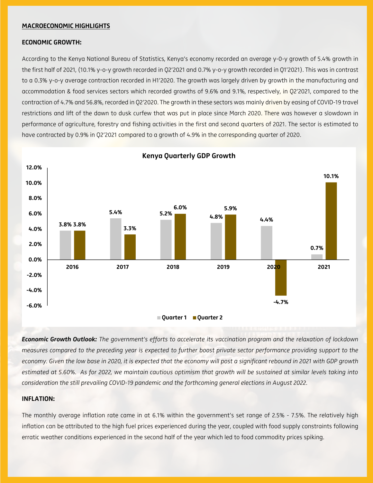#### MACROECONOMIC HIGHLIGHTS

#### ECONOMIC GROWTH:

According to the Kenya National Bureau of Statistics, Kenya's economy recorded an average y-0-y growth of 5.4% growth in the first half of 2021, (10.1% y-o-y growth recorded in Q2'2021 and 0.7% y-o-y growth recorded in Q1'2021). This was in contrast to a 0.3% y-o-y average contraction recorded in H1'2020. The growth was largely driven by growth in the manufacturing and accommodation & food services sectors which recorded growths of 9.6% and 9.1%, respectively, in Q2'2021, compared to the contraction of 4.7% and 56.8%, recorded in Q2'2020. The growth in these sectors was mainly driven by easing of COVID-19 travel restrictions and lift of the dawn to dusk curfew that was put in place since March 2020. There was however a slowdown in performance of agriculture, forestry and fishing activities in the first and second quarters of 2021. The sector is estimated to have contracted by 0.9% in Q2'2021 compared to a growth of 4.9% in the corresponding quarter of 2020.



Kenya Quarterly GDP Growth

*Economic Growth Outlook: The government's efforts to accelerate its vaccination program and the relaxation of lockdown measures compared to the preceding year is expected to further boost private sector performance providing support to the economy. Given the low base in 2020, it is expected that the economy will post a significant rebound in 2021 with GDP growth estimated at 5.60%. As for 2022, we maintain cautious optimism that growth will be sustained at similar levels taking into consideration the still prevailing COVID-19 pandemic and the forthcoming general elections in August 2022.*

#### INFLATION:

The monthly average inflation rate came in at 6.1% within the government's set range of 2.5% - 7.5%. The relatively high inflation can be attributed to the high fuel prices experienced during the year, coupled with food supply constraints following erratic weather conditions experienced in the second half of the year which led to food commodity prices spiking.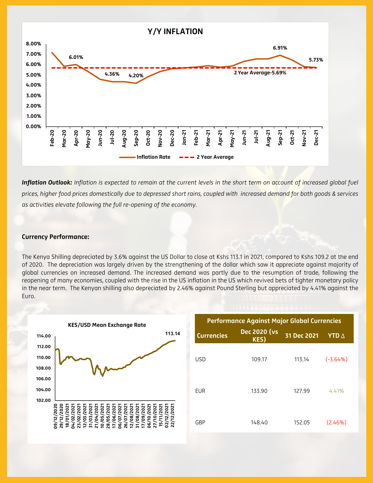

*Inflation Outlook: Inflation is expected to remain at the current levels in the short term on account of increased global fuel prices, higher food prices domestically due to depressed short rains, coupled with increased demand for both goods & services as activities elevate following the full re-opening of the economy.*

#### Currency Performance:

The Kenya Shilling depreciated by 3.6% against the US Dollar to close at Kshs 113.1 in 2021, compared to Kshs 109.2 at the end of 2020. The depreciation was largely driven by the strengthening of the dollar which saw it appreciate against majority of global currencies on increased demand. The increased demand was partly due to the resumption of trade, following the reopening of many economies, coupled with the rise in the US inflation in the US which revived bets of tighter monetary policy in the near term. The Kenyan shilling also depreciated by 2.46% against Pound Sterling but appreciated by 4.41% against the Euro.



| <b>Performance Against Major Global Currencies</b> |                             |             |                     |  |  |  |  |  |
|----------------------------------------------------|-----------------------------|-------------|---------------------|--|--|--|--|--|
| <b>Currencies</b>                                  | <b>Dec 2020 (vs</b><br>KES) | 31 Dec 2021 | <b>YTD</b> $\Delta$ |  |  |  |  |  |
| USD                                                | 109.17                      | 113.14      | $(-3.64%)$          |  |  |  |  |  |
| EUR                                                | 133.90                      | 127.99      | 4.41%               |  |  |  |  |  |
| GBP                                                | 148.40                      | 152.05      | (2.46%)             |  |  |  |  |  |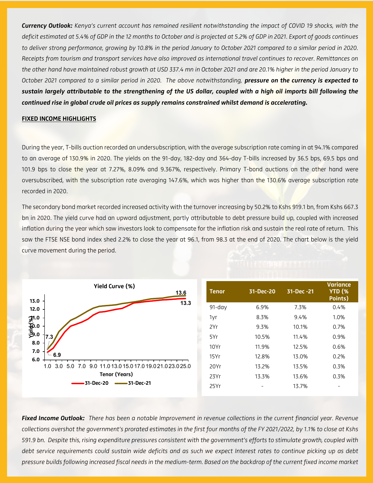*Currency Outlook: Kenya's current account has remained resilient notwithstanding the impact of COVID 19 shocks, with the deficit estimated at 5.4% of GDP in the 12 months to October and is projected at 5.2% of GDP in 2021. Export of goods continues to deliver strong performance, growing by 10.8% in the period January to October 2021 compared to a similar period in 2020. Receipts from tourism and transport services have also improved as international travel continues to recover. Remittances on the other hand have maintained robust growth at USD 337.4 mn in October 2021 and are 20.1% higher in the period January to October 2021 compared to a similar period in 2020. The above notwithstanding, pressure on the currency is expected to sustain largely attributable to the strengthening of the US dollar, coupled with a high oil imports bill following the continued rise in global crude oil prices as supply remains constrained whilst demand is accelerating.*

#### FIXED INCOME HIGHLIGHTS

During the year, T-bills auction recorded an undersubscription, with the average subscription rate coming in at 94.1% compared to an average of 130.9% in 2020. The yields on the 91-day, 182-day and 364-day T-bills increased by 36.5 bps, 69.5 bps and 101.9 bps to close the year at 7.27%, 8.09% and 9.367%, respectively. Primary T-bond auctions on the other hand were oversubscribed, with the subscription rate averaging 147.6%, which was higher than the 130.6% average subscription rate recorded in 2020.

The secondary bond market recorded increased activity with the turnover increasing by 50.2% to Kshs 919.1 bn, from Kshs 667.3 bn in 2020. The yield curve had an upward adjustment, partly attributable to debt pressure build up, coupled with increased inflation during the year which saw investors look to compensate for the inflation risk and sustain the real rate of return. This saw the FTSE NSE bond index shed 2.2% to close the year at 96.1, from 98.3 at the end of 2020. The chart below is the yield curve movement during the period.



*Fixed Income Outlook: There has been a notable Improvement in revenue collections in the current financial year. Revenue collections overshot the government's prorated estimates in the first four months of the FY 2021/2022, by 1.1% to close at Kshs 591.9 bn. Despite this, rising expenditure pressures consistent with the government's efforts to stimulate growth, coupled with debt service requirements could sustain wide deficits and as such we expect Interest rates to continue picking up as debt pressure builds following increased fiscal needs in the medium-term. Based on the backdrop of the current fixed income market*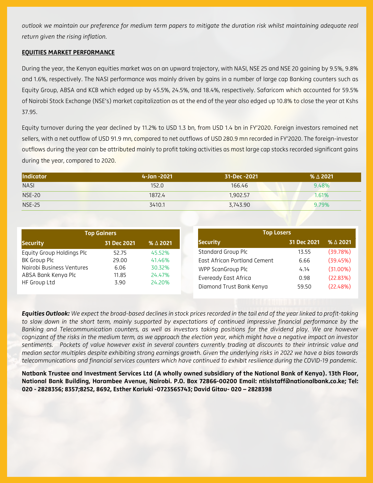*outlook we maintain our preference for medium term papers to mitigate the duration risk whilst maintaining adequate real return given the rising inflation.*

### EQUITIES MARKET PERFORMANCE

During the year, the Kenyan equities market was on an upward trajectory, with NASI, NSE 25 and NSE 20 gaining by 9.5%, 9.8% and 1.6%, respectively. The NASI performance was mainly driven by gains in a number of large cap Banking counters such as Equity Group, ABSA and KCB which edged up by 45.5%, 24.5%, and 18.4%, respectively. Safaricom which accounted for 59.5% of Nairobi Stock Exchange (NSE's) market capitalization as at the end of the year also edged up 10.8% to close the year at Kshs 37.95.

Equity turnover during the year declined by 11.2% to USD 1.3 bn, from USD 1.4 bn in FY'2020. Foreign investors remained net sellers, with a net outflow of USD 91.9 mn, compared to net outflows of USD 280.9 mn recorded in FY'2020. The foreign-investor outflows during the year can be attributed mainly to profit taking activities as most large cap stocks recorded significant gains during the year, compared to 2020.

| Indicator     | $4 - Jan - 2021$ | 31-Dec -2021 | $% \triangle 2021$ |
|---------------|------------------|--------------|--------------------|
| <b>NASI</b>   | 152.0            | 166.46       | 9.48%              |
| <b>NSE-20</b> | 1872.4           | 1,902.57     | 1.61%              |
| <b>NSE-25</b> | 3410.1           | 3,743.90     | 9.79%              |

| <b>Top Gainers</b>        |             | <b>Top Losers</b>  |                              |             |
|---------------------------|-------------|--------------------|------------------------------|-------------|
| <b>Security</b>           | 31 Dec 2021 | $% \triangle 2021$ | <b>Security</b>              | 31 Dec 2021 |
| Equity Group Holdings Plc | 52.75       | 45.52%             | <b>Standard Group Plc</b>    | 13.55       |
| BK Group Plc              | 29.00       | 41.46%             | East African Portland Cement | 6.66        |
| Nairobi Business Ventures | 6.06        | 30.32%             | WPP ScanGroup Plc            | 4.14        |
| ABSA Bank Kenya Plc       | 11.85       | 24.47%             | Eveready East Africa         | 0.98        |
| HF Group Ltd              | 3.90        | 24.20%             | Diamond Trust Bank Kenya     | 59.50       |

*Equities Outlook: We expect the broad-based declines in stock prices recorded in the tail end of the year linked to profit-taking to slow down in the short term, mainly supported by expectations of continued impressive financial performance by the Banking and Telecommunication counters, as well as investors taking positions for the dividend play. We are however cognizant of the risks in the medium term, as we approach the election year, which might have a negative impact on investor sentiments. Pockets of value however exist in several counters currently trading at discounts to their intrinsic value and median sector multiples despite exhibiting strong earnings growth. Given the underlying risks in 2022 we have a bias towards telecommunications and financial services counters which have continued to exhibit resilience during the COVID-19 pandemic.*

Natbank Trustee and Investment Services Ltd (A wholly owned subsidiary of the National Bank of Kenya). 13th Floor, National Bank Building, Harambee Avenue, Nairobi. P.O. Box 72866-00200 Email: ntislstaff@nationalbank.co.ke; Tel: 020 - 2828356; 8357;8252, 8692, Esther Kariuki -0723565743; David Gitau- 020 – 2828398